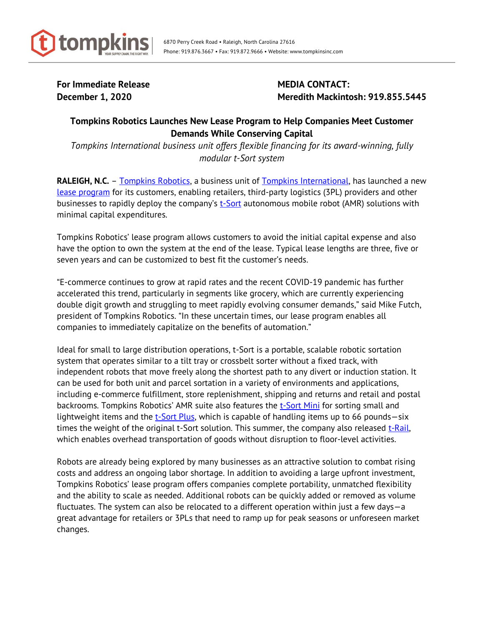

For Immediate Release **MEDIA CONTACT:** 

**December 1, 2020** Meredith Mackintosh: 919.855.5445

## **Tompkins Robotics Launches New Lease Program to Help Companies Meet Customer Demands While Conserving Capital**

*Tompkins International business unit offers flexible financing for its award-winning, fully modular t-Sort system*

**RALEIGH, N.C.** - [Tompkins Robotics,](http://www.tompkinsrobotics.com/) a business unit of [Tompkins International,](http://www.tompkinsinc.com/) has launched a new [lease program](https://www.tompkinsrobotics.com/Solutions/Financing-Options) for its customers, enabling retailers, third-party logistics (3PL) providers and other businesses to rapidly deploy the company's [t-Sort](https://www.tompkinsrobotics.com/Solutions) autonomous mobile robot (AMR) solutions with minimal capital expenditures.

Tompkins Robotics' lease program allows customers to avoid the initial capital expense and also have the option to own the system at the end of the lease. Typical lease lengths are three, five or seven years and can be customized to best fit the customer's needs.

"E-commerce continues to grow at rapid rates and the recent COVID-19 pandemic has further accelerated this trend, particularly in segments like grocery, which are currently experiencing double digit growth and struggling to meet rapidly evolving consumer demands," said Mike Futch, president of Tompkins Robotics. "In these uncertain times, our lease program enables all companies to immediately capitalize on the benefits of automation."

Ideal for small to large distribution operations, t-Sort is a portable, scalable robotic sortation system that operates similar to a tilt tray or crossbelt sorter without a fixed track, with independent robots that move freely along the shortest path to any divert or induction station. It can be used for both unit and parcel sortation in a variety of environments and applications, including e-commerce fulfillment, store replenishment, shipping and returns and retail and postal backrooms. Tompkins Robotics' AMR suite also features the [t-Sort Mini](https://www.tompkinsrobotics.com/Solutions/t-Sort#t-Sort-Mini) for sorting small and lightweight items and the  $t$ -Sort Plus, which is capable of handling items up to 66 pounds-six times the weight of the original t-Sort solution. This summer, the company also released  $t$ -Rail, which enables overhead transportation of goods without disruption to floor-level activities.

Robots are already being explored by many businesses as an attractive solution to combat rising costs and address an ongoing labor shortage. In addition to avoiding a large upfront investment, Tompkins Robotics' lease program offers companies complete portability, unmatched flexibility and the ability to scale as needed. Additional robots can be quickly added or removed as volume fluctuates. The system can also be relocated to a different operation within just a few days—a great advantage for retailers or 3PLs that need to ramp up for peak seasons or unforeseen market changes.